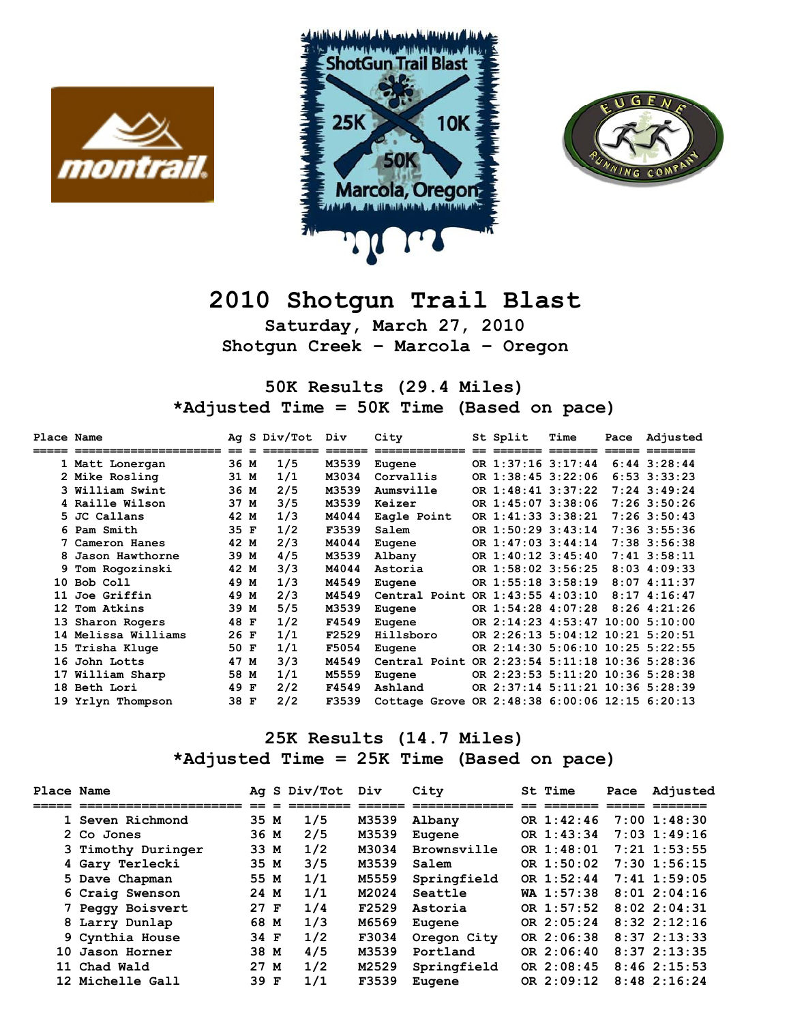





## **2010 Shotgun Trail Blast**

**Saturday, March 27, 2010 Shotgun Creek – Marcola – Oregon** 

**50K Results (29.4 Miles) \*Adjusted Time = 50K Time (Based on pace)** 

| Place Name |                       |      |   | Ag S Div/Tot | Div    | City                                           | St Split                         | Time                        | Pace | Adjusted         |
|------------|-----------------------|------|---|--------------|--------|------------------------------------------------|----------------------------------|-----------------------------|------|------------------|
|            | ===================== |      |   |              | ====== | =============                                  |                                  | $=$ $=$ $=$ $=$ $=$ $=$ $=$ |      |                  |
|            | 1 Matt Lonergan       | 36 M |   | 1/5          | M3539  | Eugene                                         | OR 1:37:16 3:17:44               |                             |      | $6:44$ $3:28:44$ |
|            | 2 Mike Rosling        | 31 M |   | 1/1          | M3034  | Corvallis                                      | OR 1:38:45 3:22:06               |                             |      | $6:53$ $3:33:23$ |
|            | 3 William Swint       | 36 M |   | 2/5          | M3539  | Aumsville                                      | OR 1:48:41 3:37:22               |                             |      | $7:24$ 3:49:24   |
|            | 4 Raille Wilson       | 37 M |   | 3/5          | M3539  | Keizer                                         | OR 1:45:07 3:38:06               |                             |      | $7:26$ 3:50:26   |
|            | 5 JC Callans          | 42 M |   | 1/3          | M4044  | Eagle Point                                    | OR 1:41:33 3:38:21               |                             |      | $7:26$ 3:50:43   |
|            | 6 Pam Smith           | 35 F |   | 1/2          | F3539  | Salem                                          | OR 1:50:29 3:43:14               |                             |      | 7:36 3:55:36     |
|            | 7 Cameron Hanes       | 42 M |   | 2/3          | M4044  | Eugene                                         | OR 1:47:03 3:44:14               |                             |      | 7:38 3:56:38     |
|            | Jason Hawthorne       | 39 M |   | 4/5          | M3539  | Albany                                         | OR 1:40:12 3:45:40               |                             |      | $7:41$ $3:58:11$ |
|            | 9 Tom Rogozinski      | 42 M |   | 3/3          | M4044  | Astoria                                        | OR 1:58:02 3:56:25               |                             |      | $8:03$ 4:09:33   |
| 10         | Bob Coll              | 49 M |   | 1/3          | M4549  | Eugene                                         | OR 1:55:18 3:58:19               |                             |      | $8:07$ 4:11:37   |
| 11         | Joe Griffin           | 49   | M | 2/3          | M4549  | Central Point                                  | OR 1:43:55 4:03:10               |                             |      | 8:174:16:47      |
| 12         | Tom Atkins            | 39 M |   | 5/5          | M3539  | Eugene                                         | OR 1:54:28 4:07:28               |                             |      | $8:26$ 4:21:26   |
| 13         | Sharon Rogers         | 48 F |   | 1/2          | F4549  | Eugene                                         | OR 2:14:23 4:53:47 10:00 5:10:00 |                             |      |                  |
|            | 14 Melissa Williams   | 26 F |   | 1/1          | F2529  | Hillsboro                                      | OR 2:26:13 5:04:12 10:21 5:20:51 |                             |      |                  |
|            | 15 Trisha Kluge       | 50 F |   | 1/1          | F5054  | Eugene                                         | OR 2:14:30 5:06:10 10:25 5:22:55 |                             |      |                  |
| 16         | John Lotts            | 47   | M | 3/3          | M4549  | Central Point                                  | OR 2:23:54 5:11:18 10:36 5:28:36 |                             |      |                  |
|            | 17 William Sharp      | 58 M |   | 1/1          | M5559  | Eugene                                         | OR 2:23:53 5:11:20 10:36 5:28:38 |                             |      |                  |
|            | 18 Beth Lori          | 49 F |   | 2/2          | F4549  | Ashland                                        | OR 2:37:14 5:11:21 10:36 5:28:39 |                             |      |                  |
| 19         | Yrlyn Thompson        | 38 F |   | 2/2          | F3539  | Cottage Grove OR 2:48:38 6:00:06 12:15 6:20:13 |                                  |                             |      |                  |

## **25K Results (14.7 Miles) \*Adjusted Time = 25K Time (Based on pace)**

| Place Name |                    |        | Ag S Div/Tot | Div   | City        | St Time      | Pace | Adjusted         |
|------------|--------------------|--------|--------------|-------|-------------|--------------|------|------------------|
|            |                    |        |              |       |             |              |      |                  |
|            | 1 Seven Richmond   | 35 M   | 1/5          | M3539 | Albany      | OR 1:42:46   |      | $7:00$ $1:48:30$ |
|            | 2 Co Jones         | 36 M   | 2/5          | M3539 | Eugene      | OR 1:43:34   |      | $7:03$ 1:49:16   |
|            | 3 Timothy Duringer | 33 M   | 1/2          | M3034 | Brownsville | OR $1:48:01$ |      | $7:21$ 1:53:55   |
|            | 4 Gary Terlecki    | 35 M   | 3/5          | M3539 | Salem       | OR $1:50:02$ |      | $7:30$ 1:56:15   |
|            | 5 Dave Chapman     | 55 M   | 1/1          | M5559 | Springfield | OR $1:52:44$ |      | $7:41$ 1:59:05   |
|            | 6 Craig Swenson    | 24 M   | 1/1          | M2024 | Seattle     | $WA$ 1:57:38 |      | $8:01$ 2:04:16   |
|            | 7 Peggy Boisvert   | $27$ F | 1/4          | F2529 | Astoria     | OR 1:57:52   |      | $8:02$ 2:04:31   |
|            | 8 Larry Dunlap     | 68 M   | 1/3          | M6569 | Eugene      | OR 2:05:24   |      | $8:32$ $2:12:16$ |
|            | 9 Cynthia House    | 34 F   | 1/2          | F3034 | Oregon City | OR 2:06:38   |      | $8:37$ $2:13:33$ |
|            | 10 Jason Horner    | 38 M   | 4/5          | M3539 | Portland    | OR $2:06:40$ |      | $8:37$ $2:13:35$ |
|            | 11 Chad Wald       | 27 M   | 1/2          | M2529 | Springfield | OR $2:08:45$ |      | $8:46$ 2:15:53   |
|            | 12 Michelle Gall   | 39 F   | 1/1          | F3539 | Eugene      | OR $2:09:12$ |      | $8:48$ 2:16:24   |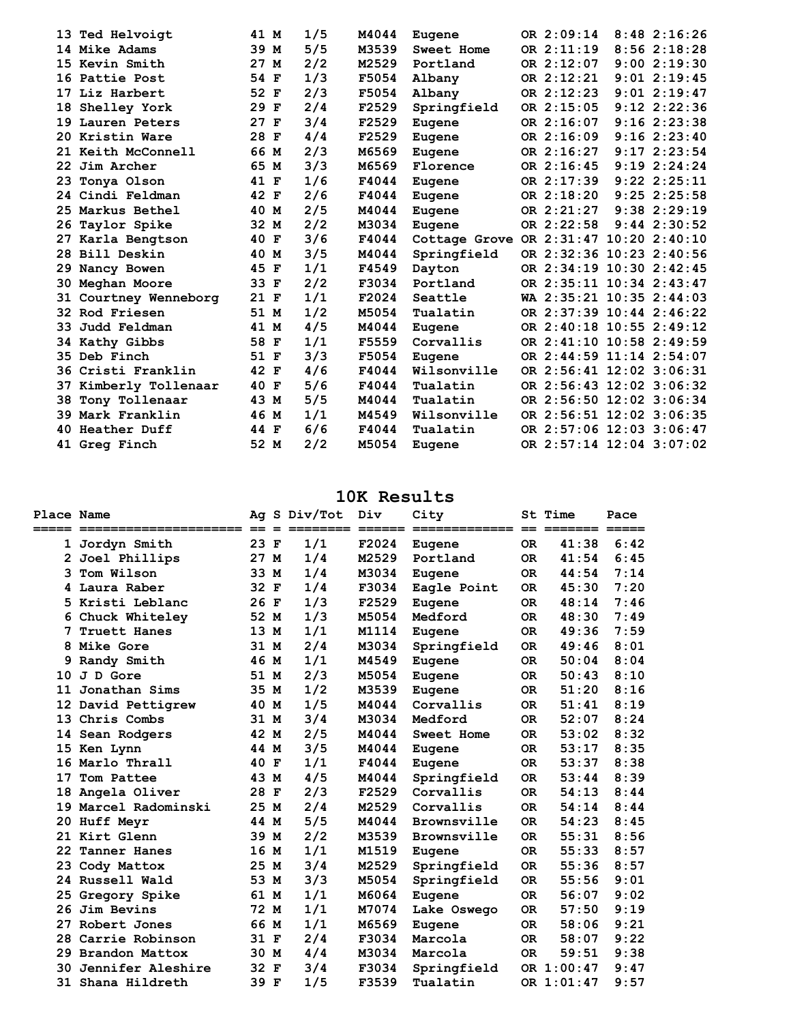| 13              | Ted Helvoigt       | 41 M | 1/5 | M4044 | Eugene                                 | OR 2:09:14               | $8:48$ 2:16:26   |
|-----------------|--------------------|------|-----|-------|----------------------------------------|--------------------------|------------------|
|                 | 14 Mike Adams      | 39 M | 5/5 | M3539 | Sweet Home                             | OR 2:11:19               | 8:562:18:28      |
|                 | 15 Kevin Smith     | 27 M | 2/2 | M2529 | Portland                               | OR 2:12:07               | 9:002:19:30      |
|                 | 16 Pattie Post     | 54 F | 1/3 | F5054 | Albany                                 | OR 2:12:21               | $9:01$ $2:19:45$ |
|                 | 17 Liz Harbert     | 52 F | 2/3 | F5054 | Albany                                 | OR 2:12:23               | $9:01$ $2:19:47$ |
| 18              | Shelley York       | 29 F | 2/4 | F2529 | Springfield                            | OR 2:15:05               | $9:12$ $2:22:36$ |
|                 | 19 Lauren Peters   | 27 F | 3/4 | F2529 | Eugene                                 | OR 2:16:07               | 9:162:23:38      |
|                 | 20 Kristin Ware    | 28 F | 4/4 | F2529 | Eugene                                 | OR 2:16:09               | 9:162:23:40      |
|                 | 21 Keith McConnell | 66 M | 2/3 | M6569 | Eugene                                 | OR 2:16:27               | 9:172:23:54      |
| 22 <sub>2</sub> | Jim Archer         | 65 M | 3/3 | M6569 | Florence                               | OR 2:16:45               | 9:192:24:24      |
| 23              | Tonya Olson        | 41 F | 1/6 | F4044 | Eugene                                 | OR 2:17:39               | $9:22$ $2:25:11$ |
|                 | 24 Cindi Feldman   | 42 F | 2/6 | F4044 | Eugene                                 | OR 2:18:20               | $9:25$ $2:25:58$ |
|                 | 25 Markus Bethel   | 40 M | 2/5 | M4044 | Eugene                                 | OR 2:21:27               | $9:38$ $2:29:19$ |
| 26              | Taylor Spike       | 32 M | 2/2 | M3034 | Eugene                                 | OR 2:22:58               | $9:44$ $2:30:52$ |
| 27              | Karla Bengtson     | 40 F | 3/6 | F4044 | Cottage Grove OR 2:31:47 10:20 2:40:10 |                          |                  |
|                 | 28 Bill Deskin     | 40 M | 3/5 | M4044 | Springfield                            | OR 2:32:36 10:23 2:40:56 |                  |
| 29.             | Nancy Bowen        | 45 F | 1/1 | F4549 | Dayton                                 | OR 2:34:19 10:30 2:42:45 |                  |
| 30.             | Meghan Moore       | 33 F | 2/2 | F3034 | Portland                               | OR 2:35:11 10:34 2:43:47 |                  |
| 31              | Courtney Wenneborg | 21 F | 1/1 | F2024 | Seattle                                | WA 2:35:21 10:35 2:44:03 |                  |
|                 | 32 Rod Friesen     | 51 M | 1/2 | M5054 | Tualatin                               | OR 2:37:39 10:44 2:46:22 |                  |
| 33.             | Judd Feldman       | 41 M | 4/5 | M4044 | Eugene                                 | OR 2:40:18 10:55 2:49:12 |                  |
|                 | 34 Kathy Gibbs     | 58 F | 1/1 | F5559 | Corvallis                              | OR 2:41:10 10:58 2:49:59 |                  |
|                 | 35 Deb Finch       | 51 F | 3/3 | F5054 | Eugene                                 | OR 2:44:59 11:14 2:54:07 |                  |
|                 | 36 Cristi Franklin | 42 F | 4/6 | F4044 | Wilsonville                            | OR 2:56:41 12:02 3:06:31 |                  |
| 37              | Kimberly Tollenaar | 40 F | 5/6 | F4044 | Tualatin                               | OR 2:56:43 12:02 3:06:32 |                  |
| 38              | Tony Tollenaar     | 43 M | 5/5 | M4044 | Tualatin                               | OR 2:56:50 12:02 3:06:34 |                  |
|                 | 39 Mark Franklin   | 46 M | 1/1 | M4549 | Wilsonville                            | OR 2:56:51 12:02 3:06:35 |                  |
|                 | 40 Heather Duff    | 44 F | 6/6 | F4044 | Tualatin                               | OR 2:57:06 12:03 3:06:47 |                  |
|                 | 41 Greg Finch      | 52 M | 2/2 | M5054 | Eugene                                 | OR 2:57:14 12:04 3:07:02 |                  |
|                 |                    |      |     |       |                                        |                          |                  |

## **10K Results**

| <b>Place Name</b> |                   |      |              | Ag S Div/Tot | Div   | City<br>====== ============= == ======= ===== |           | St Time    | Pace |
|-------------------|-------------------|------|--------------|--------------|-------|-----------------------------------------------|-----------|------------|------|
| $\mathbf{1}$      | Jordyn Smith      | 23   | $\mathbf{F}$ | 1/1          | F2024 | Eugene                                        | <b>OR</b> | 41:38      | 6:42 |
|                   | Joel Phillips     | 27 M |              | 1/4          | M2529 | Portland                                      | OR.       | 41:54      | 6:45 |
| 3                 | Tom Wilson        | 33   | M            | 1/4          | M3034 | Eugene                                        | <b>OR</b> | 44:54      | 7:14 |
| 4                 | Laura Raber       | 32   | F            | 1/4          | F3034 | Eagle Point                                   | <b>OR</b> | 45:30      | 7:20 |
|                   | 5 Kristi Leblanc  | 26   | $\mathbf{F}$ | 1/3          | F2529 | Eugene                                        | OR.       | 48:14      | 7:46 |
| 6                 | Chuck Whiteley    | 52 M |              | 1/3          | M5054 | Medford                                       | <b>OR</b> | 48:30      | 7:49 |
| 7                 | Truett Hanes      | 13   | M            | 1/1          | M1114 | Eugene                                        | <b>OR</b> | 49:36      | 7:59 |
| 8                 | Mike Gore         | 31 M |              | 2/4          | M3034 | Springfield                                   | OR.       | 49:46      | 8:01 |
| 9                 | Randy Smith       | 46   | M            | 1/1          | M4549 | Eugene                                        | <b>OR</b> | 50:04      | 8:04 |
| 10                | J D Gore          | 51 M |              | 2/3          | M5054 | Eugene                                        | <b>OR</b> | 50:43      | 8:10 |
| 11                | Jonathan Sims     | 35   | M            | 1/2          | M3539 | Eugene                                        | <b>OR</b> | 51:20      | 8:16 |
| 12                | David Pettigrew   | 40   | M            | 1/5          | M4044 | Corvallis                                     | <b>OR</b> | 51:41      | 8:19 |
| 13                | Chris Combs       | 31   | M            | 3/4          | M3034 | Medford                                       | OR.       | 52:07      | 8:24 |
| 14                | Sean Rodgers      | 42   | M            | 2/5          | M4044 | Sweet Home                                    | OR.       | 53:02      | 8:32 |
| 15                | Ken Lynn          | 44   | M            | 3/5          | M4044 | Eugene                                        | OR.       | 53:17      | 8:35 |
| 16                | Marlo Thrall      | 40   | $\mathbf F$  | 1/1          | F4044 | Eugene                                        | OR.       | 53:37      | 8:38 |
| 17                | Tom Pattee        | 43   | M            | 4/5          | M4044 | Springfield                                   | <b>OR</b> | 53:44      | 8:39 |
| 18                | Angela Oliver     | 28   | $\mathbf{F}$ | 2/3          | F2529 | Corvallis                                     | <b>OR</b> | 54:13      | 8:44 |
| 19                | Marcel Radominski | 25   | M            | 2/4          | M2529 | Corvallis                                     | OR.       | 54:14      | 8:44 |
|                   | 20 Huff Mevr      | 44   | M            | 5/5          | M4044 | Brownsville                                   | OR.       | 54:23      | 8:45 |
|                   | 21 Kirt Glenn     | 39   | M            | 2/2          | M3539 | Brownsville                                   | OR.       | 55:31      | 8:56 |
| 22                | Tanner Hanes      | 16   | M            | 1/1          | M1519 | Eugene                                        | <b>OR</b> | 55:33      | 8:57 |
| 23                | Cody Mattox       | 25   | M            | 3/4          | M2529 | Springfield                                   | <b>OR</b> | 55:36      | 8:57 |
|                   | 24 Russell Wald   | 53   | M            | 3/3          | M5054 | Springfield                                   | <b>OR</b> | 55:56      | 9:01 |
| 25                | Gregory Spike     | 61   | M            | 1/1          | M6064 | Eugene                                        | OR.       | 56:07      | 9:02 |
| 26                | Jim Bevins        | 72 M |              | 1/1          | M7074 | Lake Oswego                                   | <b>OR</b> | 57:50      | 9:19 |
| 27                | Robert Jones      | 66   | M            | 1/1          | M6569 | Eugene                                        | <b>OR</b> | 58:06      | 9:21 |
| 28                | Carrie Robinson   | 31 F |              | 2/4          | F3034 | Marcola                                       | <b>OR</b> | 58:07      | 9:22 |
| 29.               | Brandon Mattox    | 30 M |              | 4/4          | M3034 | Marcola                                       | <b>OR</b> | 59:51      | 9:38 |
| 30                | Jennifer Aleshire | 32   | F            | 3/4          | F3034 | Springfield                                   |           | OR 1:00:47 | 9:47 |
| 31                | Shana Hildreth    | 39   | $\mathbf F$  | 1/5          | F3539 | Tualatin                                      |           | OR 1:01:47 | 9:57 |